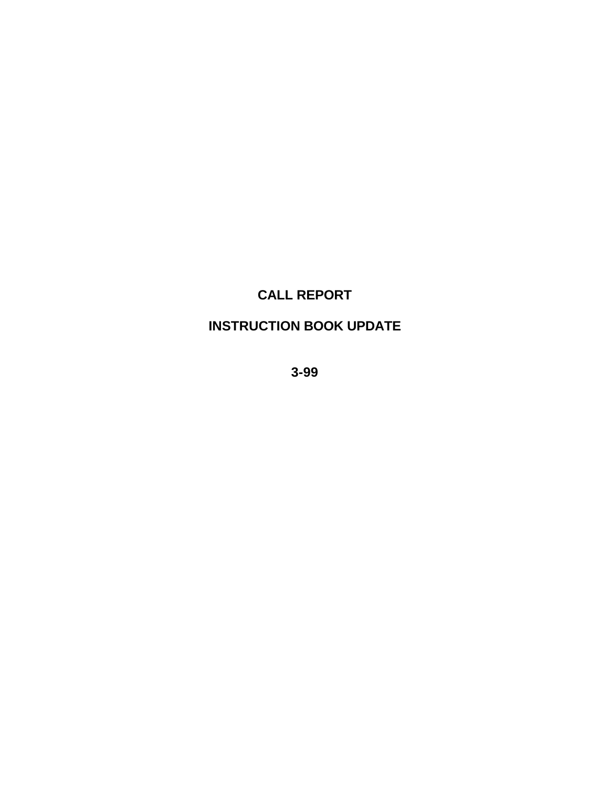# **CALL REPORT**

## **INSTRUCTION BOOK UPDATE**

**3-99**